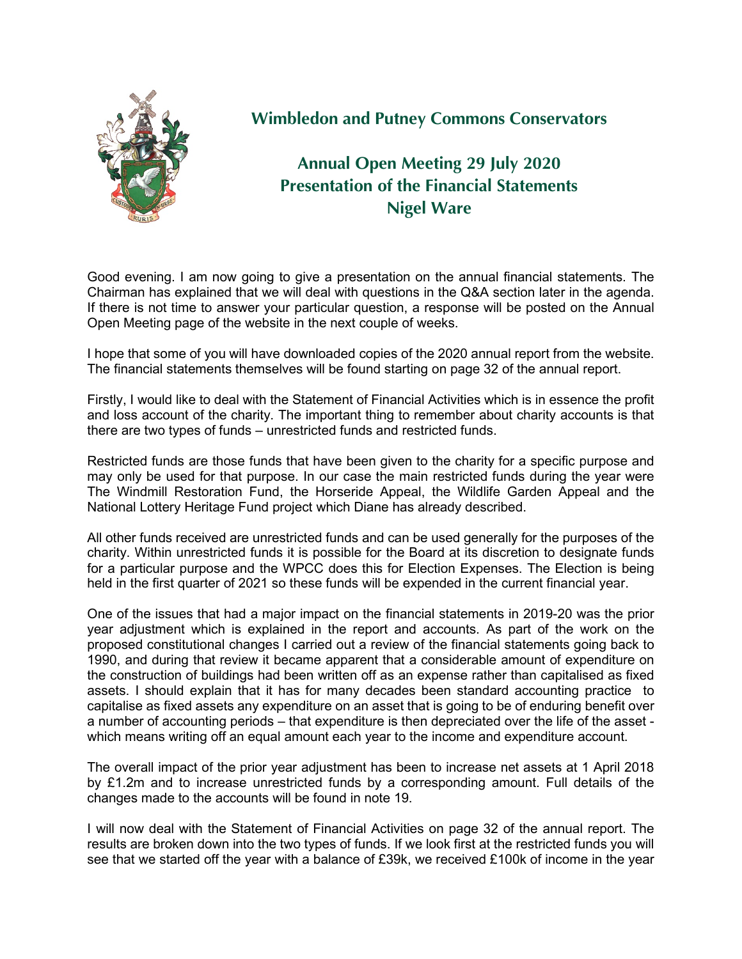

## **Wimbledon and Putney Commons Conservators**

## **Annual Open Meeting 29 July 2020 Presentation of the Financial Statements Nigel Ware**

Good evening. I am now going to give a presentation on the annual financial statements. The Chairman has explained that we will deal with questions in the Q&A section later in the agenda. If there is not time to answer your particular question, a response will be posted on the Annual Open Meeting page of the website in the next couple of weeks.

I hope that some of you will have downloaded copies of the 2020 annual report from the website. The financial statements themselves will be found starting on page 32 of the annual report.

Firstly, I would like to deal with the Statement of Financial Activities which is in essence the profit and loss account of the charity. The important thing to remember about charity accounts is that there are two types of funds – unrestricted funds and restricted funds.

Restricted funds are those funds that have been given to the charity for a specific purpose and may only be used for that purpose. In our case the main restricted funds during the year were The Windmill Restoration Fund, the Horseride Appeal, the Wildlife Garden Appeal and the National Lottery Heritage Fund project which Diane has already described.

All other funds received are unrestricted funds and can be used generally for the purposes of the charity. Within unrestricted funds it is possible for the Board at its discretion to designate funds for a particular purpose and the WPCC does this for Election Expenses. The Election is being held in the first quarter of 2021 so these funds will be expended in the current financial year.

One of the issues that had a major impact on the financial statements in 2019-20 was the prior year adjustment which is explained in the report and accounts. As part of the work on the proposed constitutional changes I carried out a review of the financial statements going back to 1990, and during that review it became apparent that a considerable amount of expenditure on the construction of buildings had been written off as an expense rather than capitalised as fixed assets. I should explain that it has for many decades been standard accounting practice to capitalise as fixed assets any expenditure on an asset that is going to be of enduring benefit over a number of accounting periods – that expenditure is then depreciated over the life of the asset which means writing off an equal amount each year to the income and expenditure account.

The overall impact of the prior year adjustment has been to increase net assets at 1 April 2018 by £1.2m and to increase unrestricted funds by a corresponding amount. Full details of the changes made to the accounts will be found in note 19.

I will now deal with the Statement of Financial Activities on page 32 of the annual report. The results are broken down into the two types of funds. If we look first at the restricted funds you will see that we started off the year with a balance of £39k, we received £100k of income in the year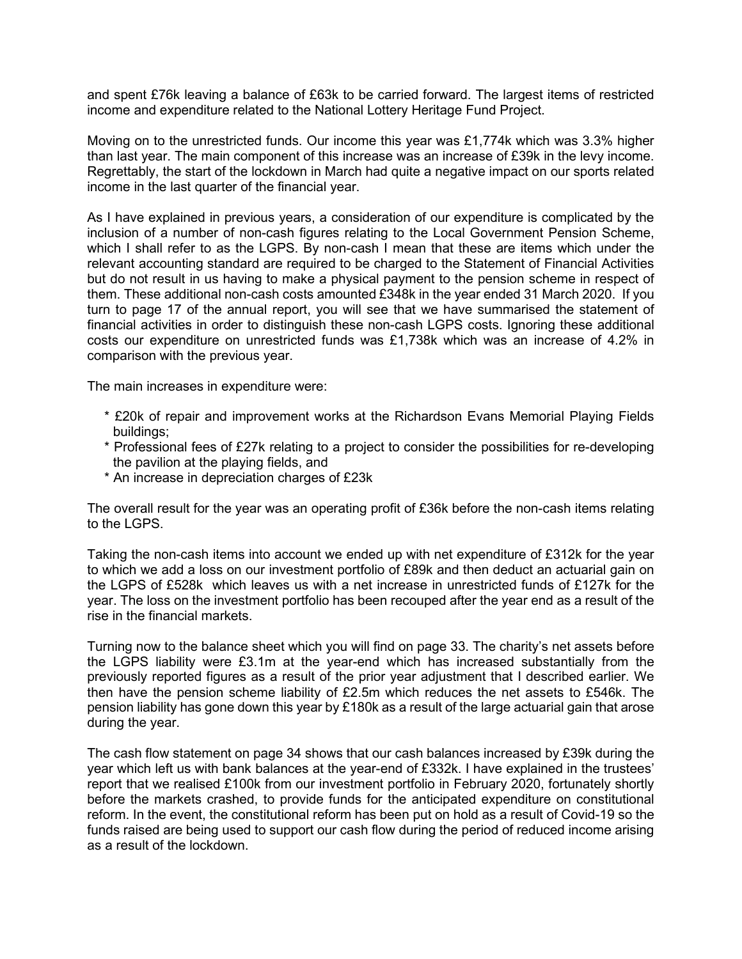and spent £76k leaving a balance of £63k to be carried forward. The largest items of restricted income and expenditure related to the National Lottery Heritage Fund Project.

Moving on to the unrestricted funds. Our income this year was £1,774k which was 3.3% higher than last year. The main component of this increase was an increase of £39k in the levy income. Regrettably, the start of the lockdown in March had quite a negative impact on our sports related income in the last quarter of the financial year.

As I have explained in previous years, a consideration of our expenditure is complicated by the inclusion of a number of non-cash figures relating to the Local Government Pension Scheme, which I shall refer to as the LGPS. By non-cash I mean that these are items which under the relevant accounting standard are required to be charged to the Statement of Financial Activities but do not result in us having to make a physical payment to the pension scheme in respect of them. These additional non-cash costs amounted £348k in the year ended 31 March 2020. If you turn to page 17 of the annual report, you will see that we have summarised the statement of financial activities in order to distinguish these non-cash LGPS costs. Ignoring these additional costs our expenditure on unrestricted funds was £1,738k which was an increase of 4.2% in comparison with the previous year.

The main increases in expenditure were:

- \* £20k of repair and improvement works at the Richardson Evans Memorial Playing Fields buildings;
- \* Professional fees of £27k relating to a project to consider the possibilities for re-developing the pavilion at the playing fields, and
- \* An increase in depreciation charges of £23k

The overall result for the year was an operating profit of £36k before the non-cash items relating to the LGPS.

Taking the non-cash items into account we ended up with net expenditure of £312k for the year to which we add a loss on our investment portfolio of £89k and then deduct an actuarial gain on the LGPS of £528k which leaves us with a net increase in unrestricted funds of £127k for the year. The loss on the investment portfolio has been recouped after the year end as a result of the rise in the financial markets.

Turning now to the balance sheet which you will find on page 33. The charity's net assets before the LGPS liability were £3.1m at the year-end which has increased substantially from the previously reported figures as a result of the prior year adjustment that I described earlier. We then have the pension scheme liability of £2.5m which reduces the net assets to £546k. The pension liability has gone down this year by £180k as a result of the large actuarial gain that arose during the year.

The cash flow statement on page 34 shows that our cash balances increased by £39k during the year which left us with bank balances at the year-end of £332k. I have explained in the trustees' report that we realised £100k from our investment portfolio in February 2020, fortunately shortly before the markets crashed, to provide funds for the anticipated expenditure on constitutional reform. In the event, the constitutional reform has been put on hold as a result of Covid-19 so the funds raised are being used to support our cash flow during the period of reduced income arising as a result of the lockdown.